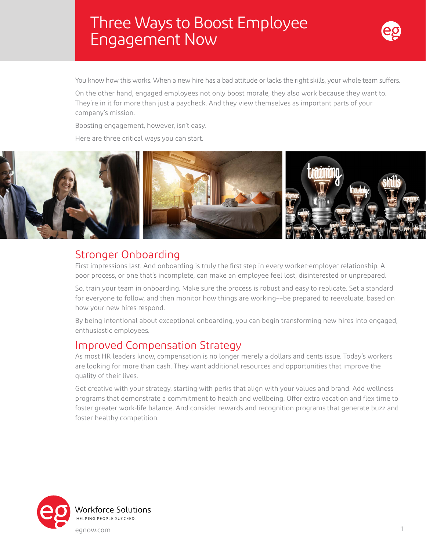# Three Ways to Boost Employee Engagement Now



You know how this works. When a new hire has a bad attitude or lacks the right skills, your whole team suffers.

On the other hand, engaged employees not only boost morale, they also work because they want to. They're in it for more than just a paycheck. And they view themselves as important parts of your company's mission.

Boosting engagement, however, isn't easy.

Here are three critical ways you can start.



### Stronger Onboarding

First impressions last. And onboarding is truly the first step in every worker-employer relationship. A poor process, or one that's incomplete, can make an employee feel lost, disinterested or unprepared.

So, train your team in onboarding. Make sure the process is robust and easy to replicate. Set a standard for everyone to follow, and then monitor how things are working––be prepared to reevaluate, based on how your new hires respond.

By being intentional about exceptional onboarding, you can begin transforming new hires into engaged, enthusiastic employees.

#### Improved Compensation Strategy

As most HR leaders know, compensation is no longer merely a dollars and cents issue. Today's workers are looking for more than cash. They want additional resources and opportunities that improve the quality of their lives.

Get creative with your strategy, starting with perks that align with your values and brand. Add wellness programs that demonstrate a commitment to health and wellbeing. Offer extra vacation and flex time to foster greater work-life balance. And consider rewards and recognition programs that generate buzz and foster healthy competition.